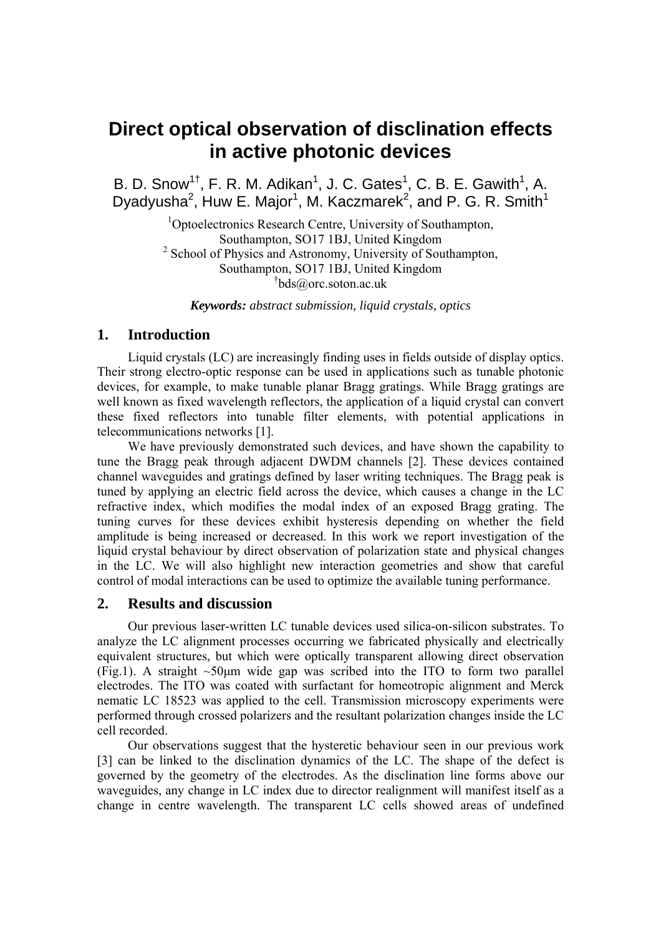# **Direct optical observation of disclination effects in active photonic devices**

B. D. Snow<sup>1†</sup>, F. R. M. Adikan<sup>1</sup>, J. C. Gates<sup>1</sup>, C. B. E. Gawith<sup>1</sup>, A. Dyadyusha<sup>2</sup>, Huw E. Major<sup>1</sup>, M. Kaczmarek<sup>2</sup>, and P. G. R. Smith<sup>1</sup>

> <sup>1</sup>Optoelectronics Research Centre, University of Southampton, Southampton, SO17 1BJ, United Kingdom <sup>2</sup> School of Physics and Astronomy, University of Southampton, Southampton, SO17 1BJ, United Kingdom † bds@orc.soton.ac.uk

*Keywords: abstract submission, liquid crystals, optics* 

## **1. Introduction**

Liquid crystals (LC) are increasingly finding uses in fields outside of display optics. Their strong electro-optic response can be used in applications such as tunable photonic devices, for example, to make tunable planar Bragg gratings. While Bragg gratings are well known as fixed wavelength reflectors, the application of a liquid crystal can convert these fixed reflectors into tunable filter elements, with potential applications in telecommunications networks [1].

We have previously demonstrated such devices, and have shown the capability to tune the Bragg peak through adjacent DWDM channels [2]. These devices contained channel waveguides and gratings defined by laser writing techniques. The Bragg peak is tuned by applying an electric field across the device, which causes a change in the LC refractive index, which modifies the modal index of an exposed Bragg grating. The tuning curves for these devices exhibit hysteresis depending on whether the field amplitude is being increased or decreased. In this work we report investigation of the liquid crystal behaviour by direct observation of polarization state and physical changes in the LC. We will also highlight new interaction geometries and show that careful control of modal interactions can be used to optimize the available tuning performance.

#### **2. Results and discussion**

Our previous laser-written LC tunable devices used silica-on-silicon substrates. To analyze the LC alignment processes occurring we fabricated physically and electrically equivalent structures, but which were optically transparent allowing direct observation (Fig.1). A straight  $\sim 50 \mu m$  wide gap was scribed into the ITO to form two parallel electrodes. The ITO was coated with surfactant for homeotropic alignment and Merck nematic LC 18523 was applied to the cell. Transmission microscopy experiments were performed through crossed polarizers and the resultant polarization changes inside the LC cell recorded.

Our observations suggest that the hysteretic behaviour seen in our previous work [3] can be linked to the disclination dynamics of the LC. The shape of the defect is governed by the geometry of the electrodes. As the disclination line forms above our waveguides, any change in LC index due to director realignment will manifest itself as a change in centre wavelength. The transparent LC cells showed areas of undefined